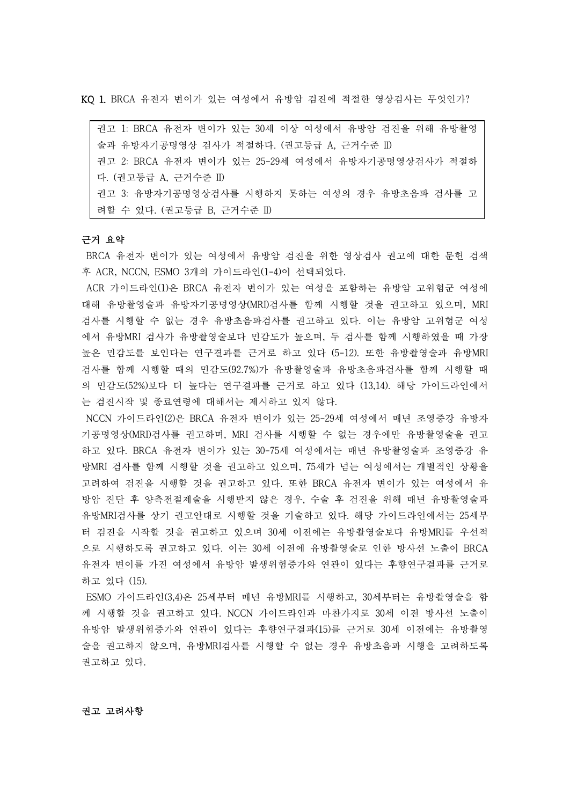KQ 1. BRCA 유전자 변이가 있는 여성에서 유방암 검진에 적절한 영상검사는 무엇인가?

권고 1: BRCA 유전자 변이가 있는 30세 이상 여성에서 유방암 검진을 위해 유방촬영 술과 유방자기공명영상 검사가 적절하다. (권고등급 A, 근거수준 II) 권고 2: BRCA 유전자 변이가 있는 25-29세 여성에서 유방자기공명영상검사가 적절하 다. (권고등급 A, 근거수준 II) 권고 3: 유방자기공명영상검사를 시행하지 못하는 여성의 경우 유방초음파 검사를 고 려할 수 있다. (권고등급 B, 근거수준 II)

### 근거 요약

BRCA 유전자 변이가 있는 여성에서 유방암 검진을 위한 영상검사 권고에 대한 문헌 검색 후 ACR, NCCN, ESMO 3개의 가이드라인(1-4)이 선택되었다.<br>ACR 가이드라인(1)은 BRCA 유전자 변이가 있는 여성을 포함하는 유방암 고위험군 여성에

대해 유방촬영술과 유방자기공명영상(MRI)검사를 함께 시행할 것을 권고하고 있으며, MRI 검사를 시행할 수 없는 경우 유방초음파검사를 권고하고 있다. 이는 유방암 고위험군 여성 에서 유방MRI 검사가 유방촬영술보다 민감도가 높으며, 두 검사를 함께 시행하였을 때 가장 높은 민감도를 보인다는 연구결과를 근거로 하고 있다 (5-12). 또한 유방촬영술과 유방MRI 검사를 함께 시행할 때의 민감도(92.7%)가 유방촬영술과 유방초음파검사를 함께 시행할 때 의 민감도(52%)보다 더 높다는 연구결과를 근거로 하고 있다 (13,14). 해당 가이드라인에서 는 검진시작 및 종료연령에 대해서는 제시하고 있지 않다.<br>NCCN 가이드라인(2)은 BRCA 유전자 변이가 있는 25-29세 여성에서 매년 조영증강 유방자

기공명영상(MRI)검사를 권고하며, MRI 검사를 시행할 수 없는 경우에만 유방촬영술을 권고 하고 있다. BRCA 유전자 변이가 있는 30-75세 여성에서는 매년 유방촬영술과 조영증강 유 방MRI 검사를 함께 시행할 것을 권고하고 있으며, 75세가 넘는 여성에서는 개별적인 상황을 고려하여 검진을 시행할 것을 권고하고 있다. 또한 BRCA 유전자 변이가 있는 여성에서 유 방암 진단 후 양측전절제술을 시행받지 않은 경우, 수술 후 검진을 위해 매년 유방촬영술과 유방MRI검사를 상기 권고안대로 시행할 것을 기술하고 있다. 해당 가이드라인에서는 25세부 터 검진을 시작할 것을 권고하고 있으며 30세 이전에는 유방촬영술보다 유방MRI를 우선적 으로 시행하도록 권고하고 있다. 이는 30세 이전에 유방촬영술로 인한 방사선 노출이 BRCA 유전자 변이를 가진 여성에서 유방암 발생위험증가와 연관이 있다는 후향연구결과를 근거로 하고 있다 (15).

ESMO 가이드라인(3,4)은 25세부터 매년 유방MRI를 시행하고, 30세부터는 유방촬영술을 함 께 시행할 것을 권고하고 있다. NCCN 가이드라인과 마찬가지로 30세 이전 방사선 노출이 유방암 발생위험증가와 연관이 있다는 후향연구결과(15)를 근거로 30세 이전에는 유방촬영 술을 권고하지 않으며, 유방MRI검사를 시행할 수 없는 경우 유방초음파 시행을 고려하도록 권고하고 있다.<br><br>**권고 고려사항**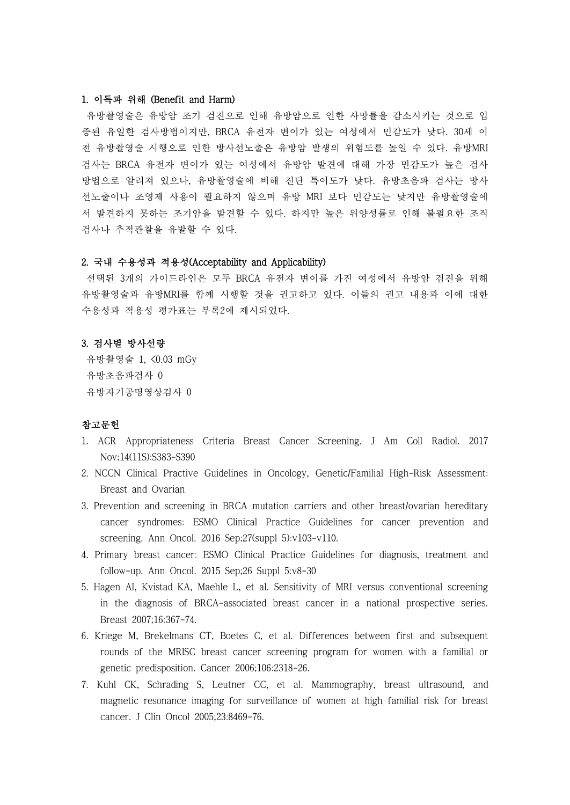# 1. 이득과 위해 (Benefit and Harm)

유방촬영술은 유방암 조기 검진으로 인해 유방암으로 인한 사망률을 감소시키는 것으로 입 증된 유일한 검사방법이지만, BRCA 유전자 변이가 있는 여성에서 민감도가 낮다. 30세 이 전 유방촬영술 시행으로 인한 방사선노출은 유방암 발생의 위험도를 높일 수 있다. 유방MRI 검사는 BRCA 유전자 변이가 있는 여성에서 유방암 발견에 대해 가장 민감도가 높은 검사 방법으로 알려져 있으나, 유방촬영술에 비해 진단 특이도가 낮다. 유방초음파 검사는 방사 선노출이나 조영제 사용이 필요하지 않으며 유방 MRI 보다 민감도는 낮지만 유방촬영술에 서 발견하지 못하는 조기암을 발견할 수 있다. 하지만 높은 위양성률로 인해 불필요한 조직 검사나 추적관찰을 유발할 수 있다.

## 2. 국내 수용성과 적용성(Acceptability and Applicability)

선택된 3개의 가이드라인은 모두 BRCA 유전자 변이를 가진 여성에서 유방암 검진을 위해 유방촬영술과 유방MRI를 함께 시행할 것을 권고하고 있다. 이들의 권고 내용과 이에 대한 수용성과 적용성 평가표는 부록2에 제시되었다.

### 3. 검사별 방사선량

유방촬영술 1, <0.03 mGy 유방초음파검사 0 유방자기공명영상검사 0

# 참고문헌

- 1. ACR Appropriateness Criteria Breast Cancer Screening. J Am Coll Radiol. 2017 Nov;14(11S):S383-S390
- 2. NCCN Clinical Practive Guidelines in Oncology, Genetic/Familial High-Risk Assessment: Breast and Ovarian
- 3. Prevention and screening in BRCA mutation carriers and other breast/ovarian hereditary cancer syndromes: ESMO Clinical Practice Guidelines for cancer prevention and screening. Ann Oncol. 2016 Sep;27(suppl 5):v103-v110.
- 4. Primary breast cancer: ESMO Clinical Practice Guidelines for diagnosis, treatment and follow-up. Ann Oncol. 2015 Sep;26 Suppl 5:v8-30
- 5. Hagen AI, Kvistad KA, Maehle L, et al. Sensitivity of MRI versus conventional screening in the diagnosis of BRCA-associated breast cancer in a national prospective series. Breast 2007;16:367-74.
- 6. Kriege M, Brekelmans CT, Boetes C, et al. Differences between first and subsequent rounds of the MRISC breast cancer screening program for women with a familial or genetic predisposition. Cancer 2006;106:2318-26.
- 7. Kuhl CK, Schrading S, Leutner CC, et al. Mammography, breast ultrasound, and magnetic resonance imaging for surveillance of women at high familial risk for breast cancer. J Clin Oncol 2005;23:8469-76.